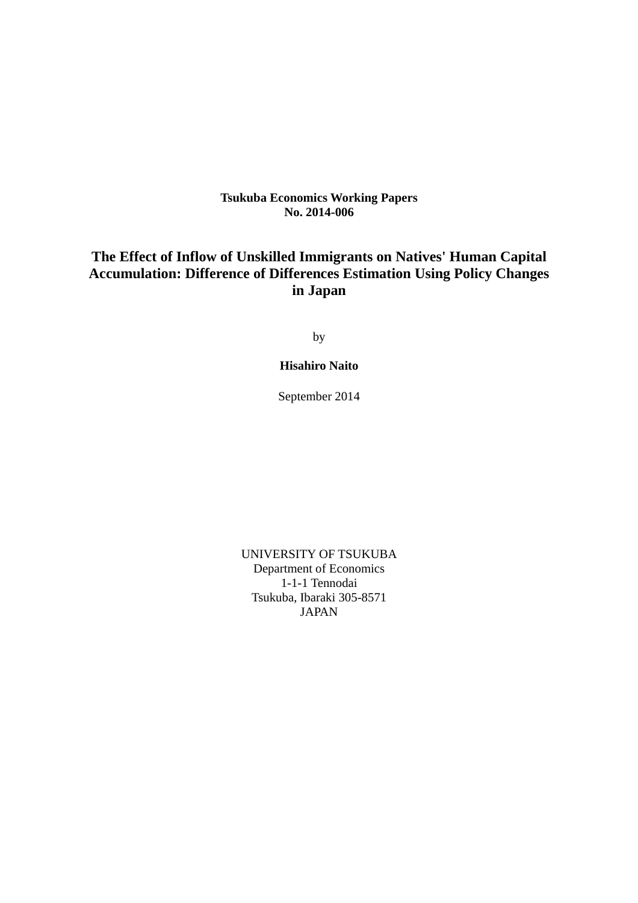#### **Tsukuba Economics Working Papers No. 2014-006**

#### **The Effect of Inflow of Unskilled Immigrants on Natives' Human Capital Accumulation: Difference of Differences Estimation Using Policy Changes in Japan**

by

#### **Hisahiro Naito**

September 2014

UNIVERSITY OF TSUKUBA Department of Economics 1-1-1 Tennodai Tsukuba, Ibaraki 305-8571 JAPAN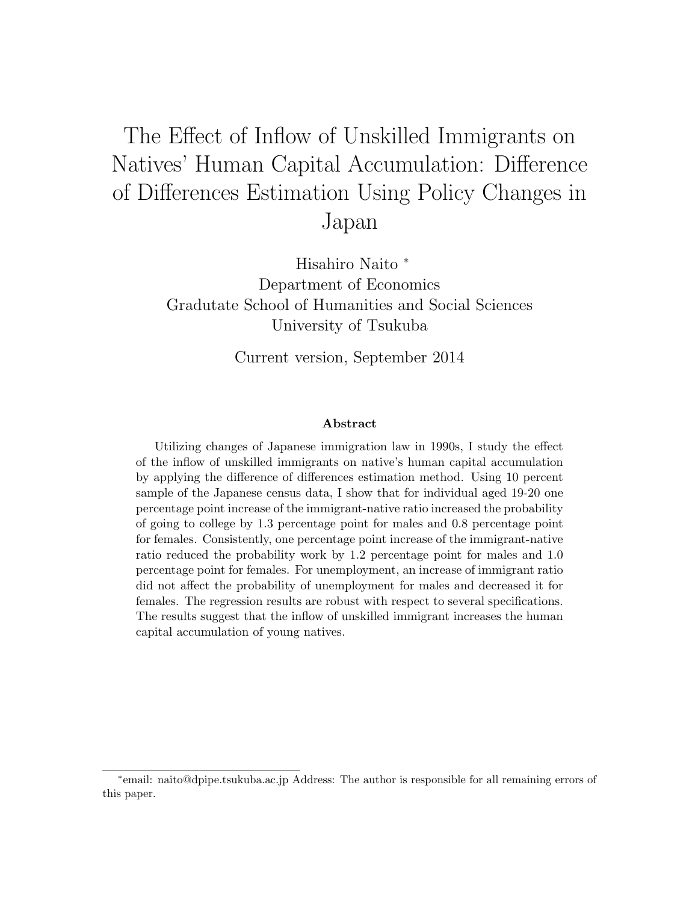# The Effect of Inflow of Unskilled Immigrants on Natives' Human Capital Accumulation: Difference of Differences Estimation Using Policy Changes in Japan

Hisahiro Naito <sup>∗</sup> Department of Economics Gradutate School of Humanities and Social Sciences University of Tsukuba

Current version, September 2014

#### Abstract

Utilizing changes of Japanese immigration law in 1990s, I study the effect of the inflow of unskilled immigrants on native's human capital accumulation by applying the difference of differences estimation method. Using 10 percent sample of the Japanese census data, I show that for individual aged 19-20 one percentage point increase of the immigrant-native ratio increased the probability of going to college by 1.3 percentage point for males and 0.8 percentage point for females. Consistently, one percentage point increase of the immigrant-native ratio reduced the probability work by 1.2 percentage point for males and 1.0 percentage point for females. For unemployment, an increase of immigrant ratio did not affect the probability of unemployment for males and decreased it for females. The regression results are robust with respect to several specifications. The results suggest that the inflow of unskilled immigrant increases the human capital accumulation of young natives.

<sup>∗</sup> email: naito@dpipe.tsukuba.ac.jp Address: The author is responsible for all remaining errors of this paper.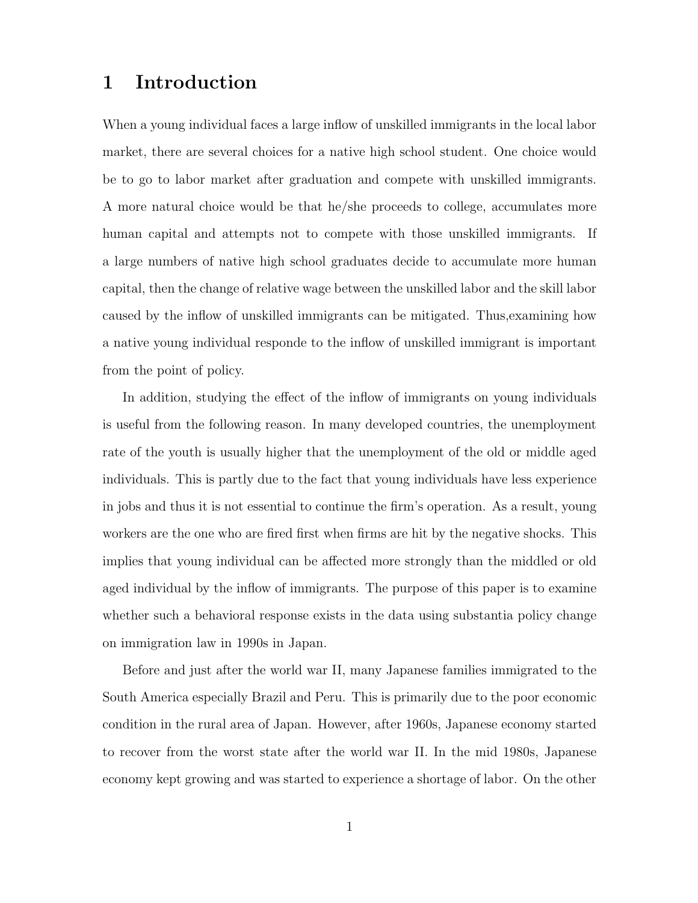#### 1 Introduction

When a young individual faces a large inflow of unskilled immigrants in the local labor market, there are several choices for a native high school student. One choice would be to go to labor market after graduation and compete with unskilled immigrants. A more natural choice would be that he/she proceeds to college, accumulates more human capital and attempts not to compete with those unskilled immigrants. If a large numbers of native high school graduates decide to accumulate more human capital, then the change of relative wage between the unskilled labor and the skill labor caused by the inflow of unskilled immigrants can be mitigated. Thus,examining how a native young individual responde to the inflow of unskilled immigrant is important from the point of policy.

In addition, studying the effect of the inflow of immigrants on young individuals is useful from the following reason. In many developed countries, the unemployment rate of the youth is usually higher that the unemployment of the old or middle aged individuals. This is partly due to the fact that young individuals have less experience in jobs and thus it is not essential to continue the firm's operation. As a result, young workers are the one who are fired first when firms are hit by the negative shocks. This implies that young individual can be affected more strongly than the middled or old aged individual by the inflow of immigrants. The purpose of this paper is to examine whether such a behavioral response exists in the data using substantia policy change on immigration law in 1990s in Japan.

Before and just after the world war II, many Japanese families immigrated to the South America especially Brazil and Peru. This is primarily due to the poor economic condition in the rural area of Japan. However, after 1960s, Japanese economy started to recover from the worst state after the world war II. In the mid 1980s, Japanese economy kept growing and was started to experience a shortage of labor. On the other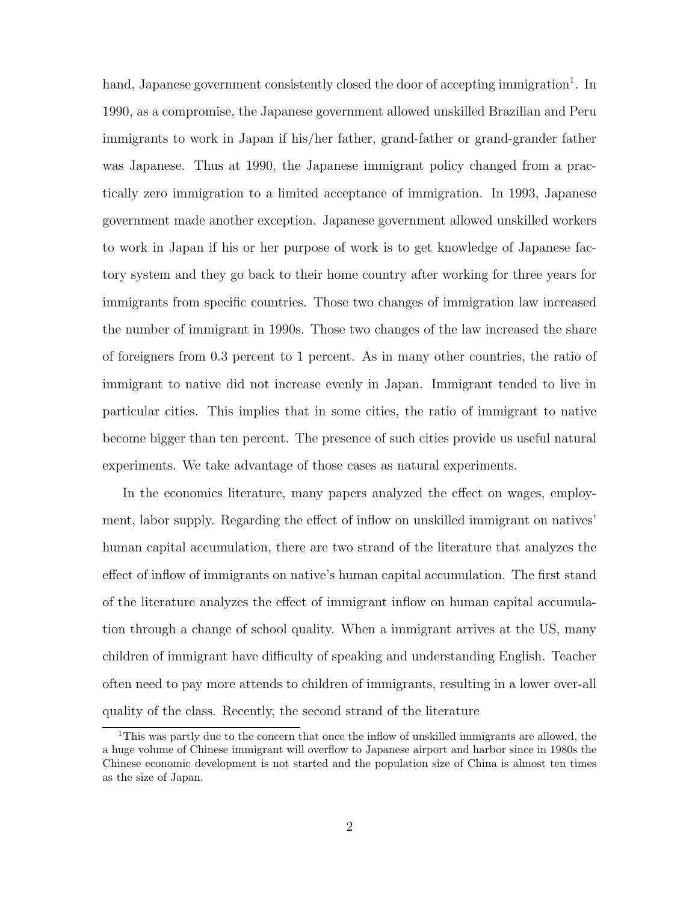hand, Japanese government consistently closed the door of accepting immigration<sup>1</sup>. In 1990, as a compromise, the Japanese government allowed unskilled Brazilian and Peru immigrants to work in Japan if his/her father, grand-father or grand-grander father was Japanese. Thus at 1990, the Japanese immigrant policy changed from a practically zero immigration to a limited acceptance of immigration. In 1993, Japanese government made another exception. Japanese government allowed unskilled workers to work in Japan if his or her purpose of work is to get knowledge of Japanese factory system and they go back to their home country after working for three years for immigrants from specific countries. Those two changes of immigration law increased the number of immigrant in 1990s. Those two changes of the law increased the share of foreigners from 0.3 percent to 1 percent. As in many other countries, the ratio of immigrant to native did not increase evenly in Japan. Immigrant tended to live in particular cities. This implies that in some cities, the ratio of immigrant to native become bigger than ten percent. The presence of such cities provide us useful natural experiments. We take advantage of those cases as natural experiments.

In the economics literature, many papers analyzed the effect on wages, employment, labor supply. Regarding the effect of inflow on unskilled immigrant on natives' human capital accumulation, there are two strand of the literature that analyzes the effect of inflow of immigrants on native's human capital accumulation. The first stand of the literature analyzes the effect of immigrant inflow on human capital accumulation through a change of school quality. When a immigrant arrives at the US, many children of immigrant have difficulty of speaking and understanding English. Teacher often need to pay more attends to children of immigrants, resulting in a lower over-all quality of the class. Recently, the second strand of the literature

<sup>&</sup>lt;sup>1</sup>This was partly due to the concern that once the inflow of unskilled immigrants are allowed, the a huge volume of Chinese immigrant will overflow to Japanese airport and harbor since in 1980s the Chinese economic development is not started and the population size of China is almost ten times as the size of Japan.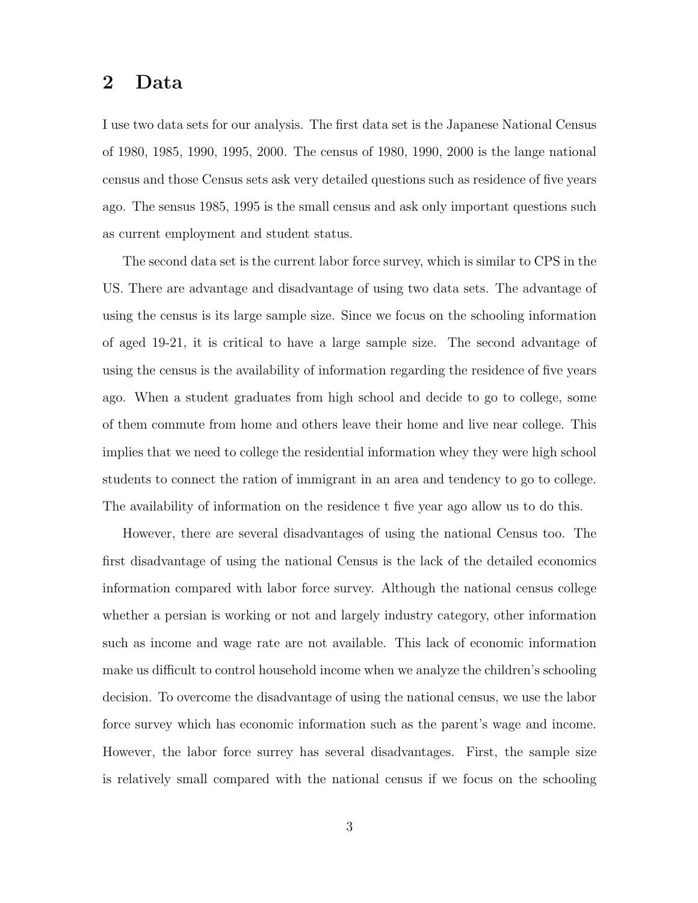## 2 Data

I use two data sets for our analysis. The first data set is the Japanese National Census of 1980, 1985, 1990, 1995, 2000. The census of 1980, 1990, 2000 is the lange national census and those Census sets ask very detailed questions such as residence of five years ago. The sensus 1985, 1995 is the small census and ask only important questions such as current employment and student status.

The second data set is the current labor force survey, which is similar to CPS in the US. There are advantage and disadvantage of using two data sets. The advantage of using the census is its large sample size. Since we focus on the schooling information of aged 19-21, it is critical to have a large sample size. The second advantage of using the census is the availability of information regarding the residence of five years ago. When a student graduates from high school and decide to go to college, some of them commute from home and others leave their home and live near college. This implies that we need to college the residential information whey they were high school students to connect the ration of immigrant in an area and tendency to go to college. The availability of information on the residence t five year ago allow us to do this.

However, there are several disadvantages of using the national Census too. The first disadvantage of using the national Census is the lack of the detailed economics information compared with labor force survey. Although the national census college whether a persian is working or not and largely industry category, other information such as income and wage rate are not available. This lack of economic information make us difficult to control household income when we analyze the children's schooling decision. To overcome the disadvantage of using the national census, we use the labor force survey which has economic information such as the parent's wage and income. However, the labor force surrey has several disadvantages. First, the sample size is relatively small compared with the national census if we focus on the schooling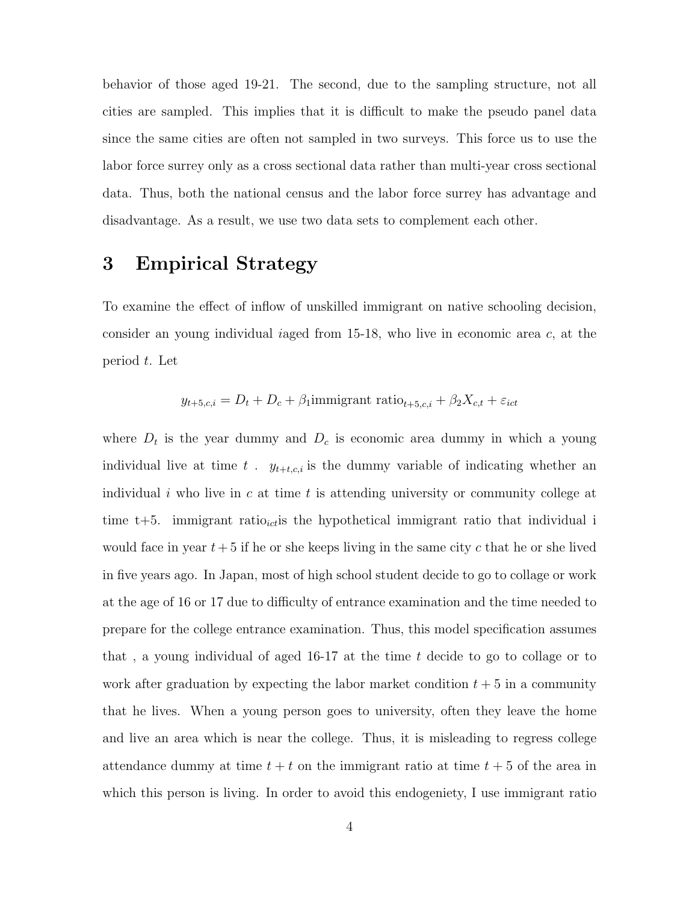behavior of those aged 19-21. The second, due to the sampling structure, not all cities are sampled. This implies that it is difficult to make the pseudo panel data since the same cities are often not sampled in two surveys. This force us to use the labor force surrey only as a cross sectional data rather than multi-year cross sectional data. Thus, both the national census and the labor force surrey has advantage and disadvantage. As a result, we use two data sets to complement each other.

## 3 Empirical Strategy

To examine the effect of inflow of unskilled immigrant on native schooling decision, consider an young individual iaged from 15-18, who live in economic area c, at the period t. Let

$$
y_{t+5,c,i} = D_t + D_c + \beta_1
$$
immigrant ratio<sub>t+5,c,i</sub> +  $\beta_2 X_{c,t} + \varepsilon_{ict}$ 

where  $D_t$  is the year dummy and  $D_c$  is economic area dummy in which a young individual live at time t.  $y_{t+t,c,i}$  is the dummy variable of indicating whether an individual i who live in c at time t is attending university or community college at time t+5. immigrant ratio<sub>ict</sub> is the hypothetical immigrant ratio that individual i would face in year  $t+5$  if he or she keeps living in the same city c that he or she lived in five years ago. In Japan, most of high school student decide to go to collage or work at the age of 16 or 17 due to difficulty of entrance examination and the time needed to prepare for the college entrance examination. Thus, this model specification assumes that , a young individual of aged 16-17 at the time t decide to go to collage or to work after graduation by expecting the labor market condition  $t + 5$  in a community that he lives. When a young person goes to university, often they leave the home and live an area which is near the college. Thus, it is misleading to regress college attendance dummy at time  $t + t$  on the immigrant ratio at time  $t + 5$  of the area in which this person is living. In order to avoid this endogeniety, I use immigrant ratio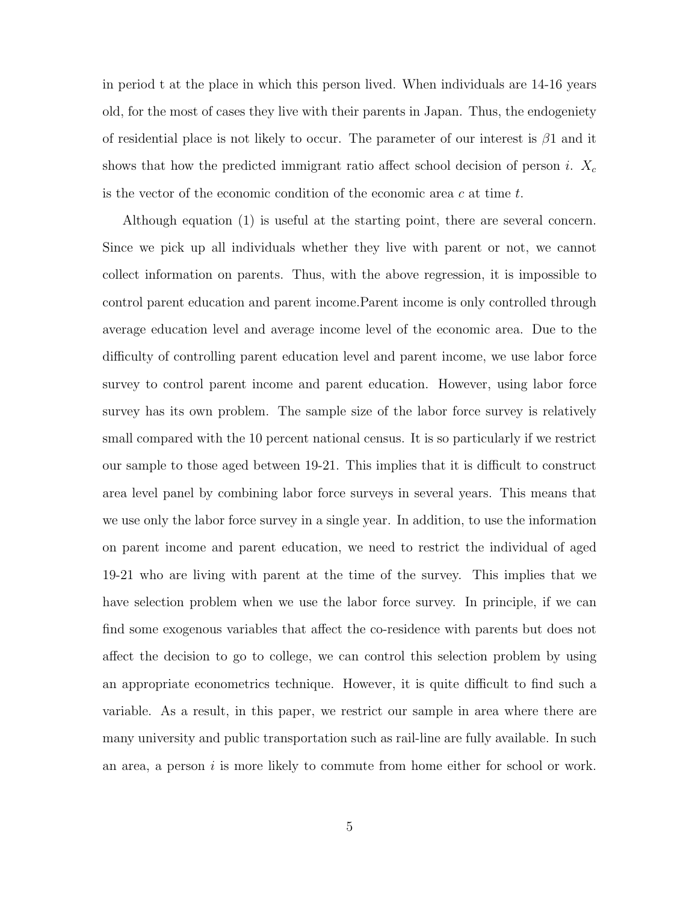in period t at the place in which this person lived. When individuals are 14-16 years old, for the most of cases they live with their parents in Japan. Thus, the endogeniety of residential place is not likely to occur. The parameter of our interest is  $\beta_1$  and it shows that how the predicted immigrant ratio affect school decision of person i.  $X_c$ is the vector of the economic condition of the economic area  $c$  at time  $t$ .

Although equation (1) is useful at the starting point, there are several concern. Since we pick up all individuals whether they live with parent or not, we cannot collect information on parents. Thus, with the above regression, it is impossible to control parent education and parent income.Parent income is only controlled through average education level and average income level of the economic area. Due to the difficulty of controlling parent education level and parent income, we use labor force survey to control parent income and parent education. However, using labor force survey has its own problem. The sample size of the labor force survey is relatively small compared with the 10 percent national census. It is so particularly if we restrict our sample to those aged between 19-21. This implies that it is difficult to construct area level panel by combining labor force surveys in several years. This means that we use only the labor force survey in a single year. In addition, to use the information on parent income and parent education, we need to restrict the individual of aged 19-21 who are living with parent at the time of the survey. This implies that we have selection problem when we use the labor force survey. In principle, if we can find some exogenous variables that affect the co-residence with parents but does not affect the decision to go to college, we can control this selection problem by using an appropriate econometrics technique. However, it is quite difficult to find such a variable. As a result, in this paper, we restrict our sample in area where there are many university and public transportation such as rail-line are fully available. In such an area, a person  $i$  is more likely to commute from home either for school or work.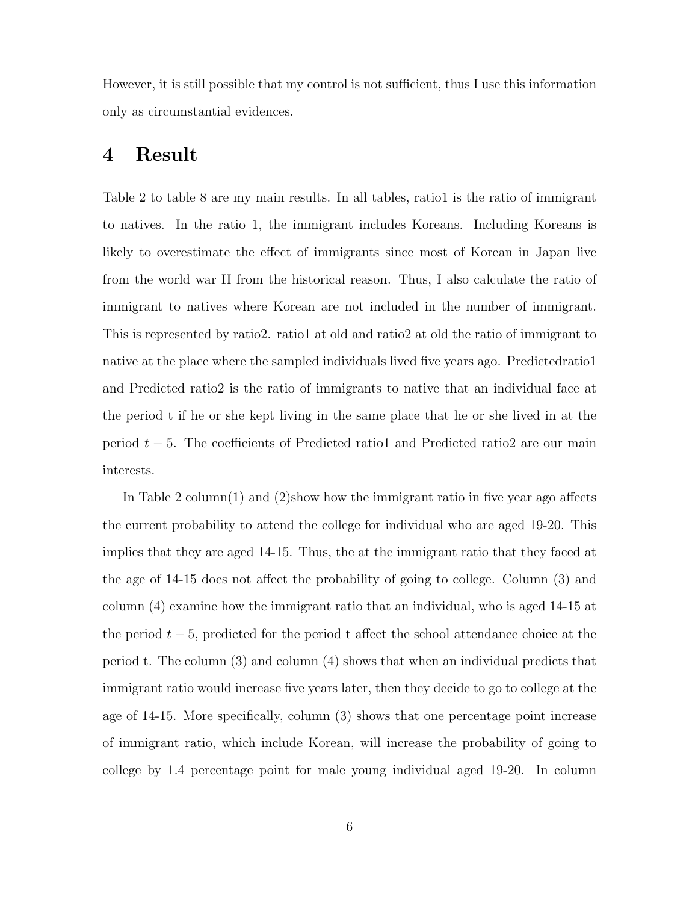However, it is still possible that my control is not sufficient, thus I use this information only as circumstantial evidences.

#### 4 Result

Table 2 to table 8 are my main results. In all tables, ratio1 is the ratio of immigrant to natives. In the ratio 1, the immigrant includes Koreans. Including Koreans is likely to overestimate the effect of immigrants since most of Korean in Japan live from the world war II from the historical reason. Thus, I also calculate the ratio of immigrant to natives where Korean are not included in the number of immigrant. This is represented by ratio2. ratio1 at old and ratio2 at old the ratio of immigrant to native at the place where the sampled individuals lived five years ago. Predictedratio1 and Predicted ratio2 is the ratio of immigrants to native that an individual face at the period t if he or she kept living in the same place that he or she lived in at the period  $t - 5$ . The coefficients of Predicted ratio1 and Predicted ratio2 are our main interests.

In Table 2 column(1) and (2)show how the immigrant ratio in five year ago affects the current probability to attend the college for individual who are aged 19-20. This implies that they are aged 14-15. Thus, the at the immigrant ratio that they faced at the age of 14-15 does not affect the probability of going to college. Column (3) and column (4) examine how the immigrant ratio that an individual, who is aged 14-15 at the period  $t - 5$ , predicted for the period t affect the school attendance choice at the period t. The column (3) and column (4) shows that when an individual predicts that immigrant ratio would increase five years later, then they decide to go to college at the age of 14-15. More specifically, column (3) shows that one percentage point increase of immigrant ratio, which include Korean, will increase the probability of going to college by 1.4 percentage point for male young individual aged 19-20. In column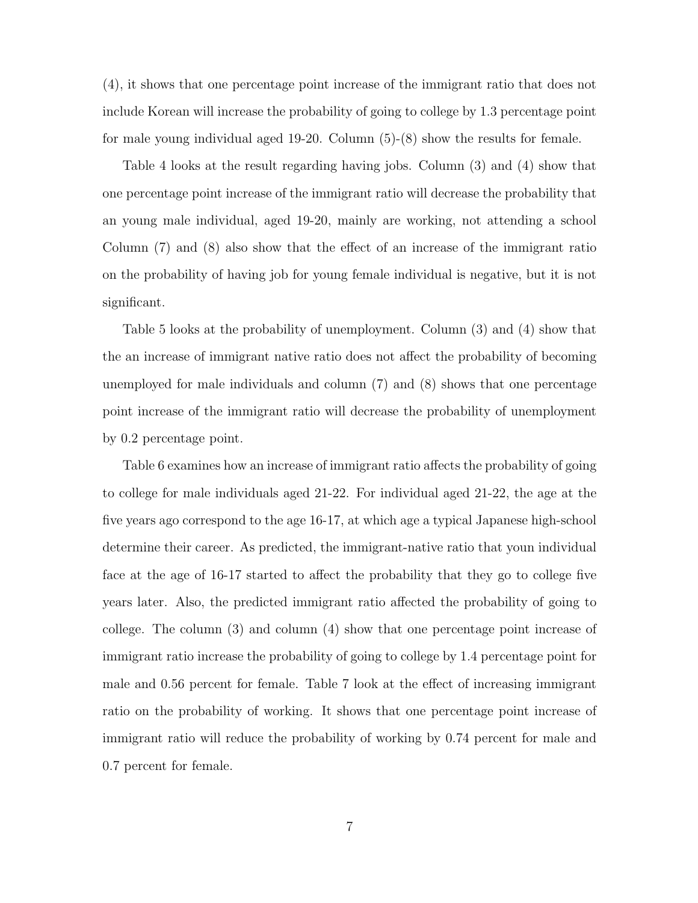(4), it shows that one percentage point increase of the immigrant ratio that does not include Korean will increase the probability of going to college by 1.3 percentage point for male young individual aged 19-20. Column (5)-(8) show the results for female.

Table 4 looks at the result regarding having jobs. Column (3) and (4) show that one percentage point increase of the immigrant ratio will decrease the probability that an young male individual, aged 19-20, mainly are working, not attending a school Column (7) and (8) also show that the effect of an increase of the immigrant ratio on the probability of having job for young female individual is negative, but it is not significant.

Table 5 looks at the probability of unemployment. Column (3) and (4) show that the an increase of immigrant native ratio does not affect the probability of becoming unemployed for male individuals and column (7) and (8) shows that one percentage point increase of the immigrant ratio will decrease the probability of unemployment by 0.2 percentage point.

Table 6 examines how an increase of immigrant ratio affects the probability of going to college for male individuals aged 21-22. For individual aged 21-22, the age at the five years ago correspond to the age 16-17, at which age a typical Japanese high-school determine their career. As predicted, the immigrant-native ratio that youn individual face at the age of 16-17 started to affect the probability that they go to college five years later. Also, the predicted immigrant ratio affected the probability of going to college. The column (3) and column (4) show that one percentage point increase of immigrant ratio increase the probability of going to college by 1.4 percentage point for male and 0.56 percent for female. Table 7 look at the effect of increasing immigrant ratio on the probability of working. It shows that one percentage point increase of immigrant ratio will reduce the probability of working by 0.74 percent for male and 0.7 percent for female.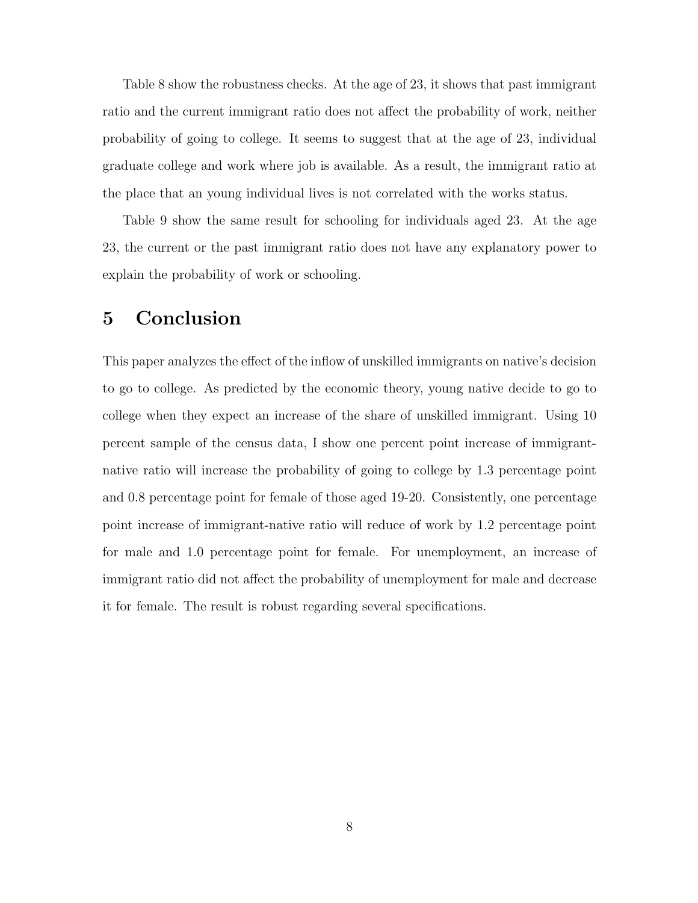Table 8 show the robustness checks. At the age of 23, it shows that past immigrant ratio and the current immigrant ratio does not affect the probability of work, neither probability of going to college. It seems to suggest that at the age of 23, individual graduate college and work where job is available. As a result, the immigrant ratio at the place that an young individual lives is not correlated with the works status.

Table 9 show the same result for schooling for individuals aged 23. At the age 23, the current or the past immigrant ratio does not have any explanatory power to explain the probability of work or schooling.

### 5 Conclusion

This paper analyzes the effect of the inflow of unskilled immigrants on native's decision to go to college. As predicted by the economic theory, young native decide to go to college when they expect an increase of the share of unskilled immigrant. Using 10 percent sample of the census data, I show one percent point increase of immigrantnative ratio will increase the probability of going to college by 1.3 percentage point and 0.8 percentage point for female of those aged 19-20. Consistently, one percentage point increase of immigrant-native ratio will reduce of work by 1.2 percentage point for male and 1.0 percentage point for female. For unemployment, an increase of immigrant ratio did not affect the probability of unemployment for male and decrease it for female. The result is robust regarding several specifications.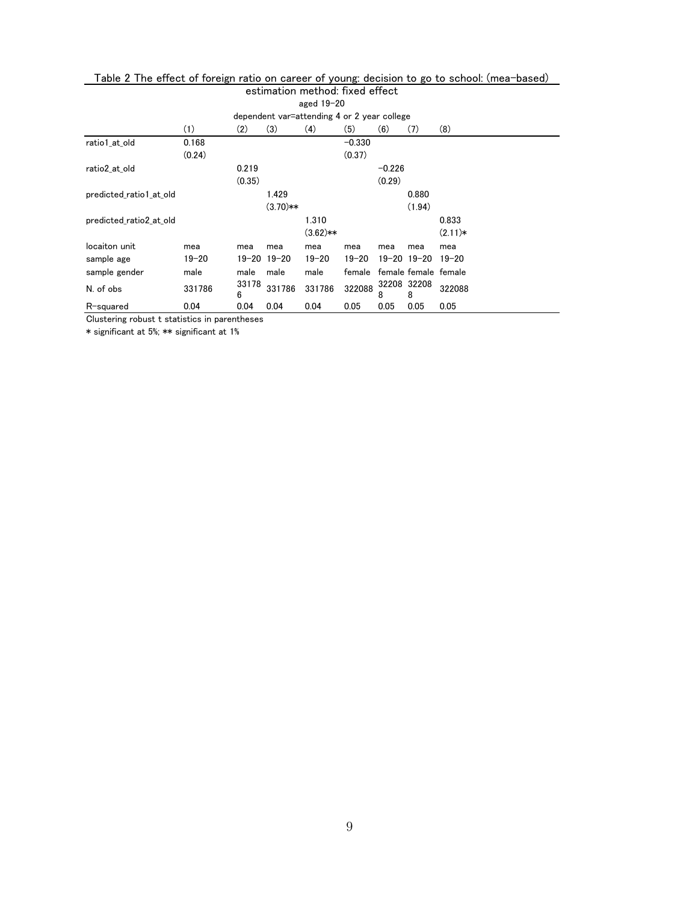| estimation method: fixed effect<br>aged 19-20 |                                             |            |                     |            |           |                  |                      |           |  |  |
|-----------------------------------------------|---------------------------------------------|------------|---------------------|------------|-----------|------------------|----------------------|-----------|--|--|
|                                               | dependent var=attending 4 or 2 year college |            |                     |            |           |                  |                      |           |  |  |
|                                               | (1)                                         | (2)        | (3)                 | (4)        | (5)       | (6)              | (7)                  | (8)       |  |  |
| ratio1 at old                                 | 0.168                                       |            |                     |            | $-0.330$  |                  |                      |           |  |  |
|                                               | (0.24)                                      |            |                     |            | (0.37)    |                  |                      |           |  |  |
| ratio2 at old                                 |                                             | 0.219      |                     |            |           | $-0.226$         |                      |           |  |  |
|                                               |                                             | (0.35)     |                     |            |           | (0.29)           |                      |           |  |  |
| predicted ratio1 at old                       |                                             |            | 1.429               |            |           |                  | 0.880                |           |  |  |
|                                               |                                             |            | $(3.70)**$          |            |           |                  | (1.94)               |           |  |  |
| predicted_ratio2_at old                       |                                             |            |                     | 1.310      |           |                  |                      | 0.833     |  |  |
|                                               |                                             |            |                     | $(3.62)**$ |           |                  |                      | $(2.11)*$ |  |  |
| locaiton unit                                 | mea                                         | mea        | mea                 | mea        | mea       | mea              | mea                  | mea       |  |  |
| sample age                                    | $19 - 20$                                   |            | $19 - 20$ $19 - 20$ | $19 - 20$  | $19 - 20$ |                  | $19 - 20$ 19-20      | 19-20     |  |  |
| sample gender                                 | male                                        | male       | male                | male       | female    |                  | female female female |           |  |  |
| N. of obs                                     | 331786                                      | 33178<br>6 | 331786              | 331786     | 322088    | 32208 32208<br>8 | 8                    | 322088    |  |  |
| R-squared                                     | 0.04                                        | 0.04       | 0.04                | 0.04       | 0.05      | 0.05             | 0.05                 | 0.05      |  |  |

# Table 2 The effect of foreign ratio on career of young: decision to go to school: (mea-based)

Clustering robust t statistics in parentheses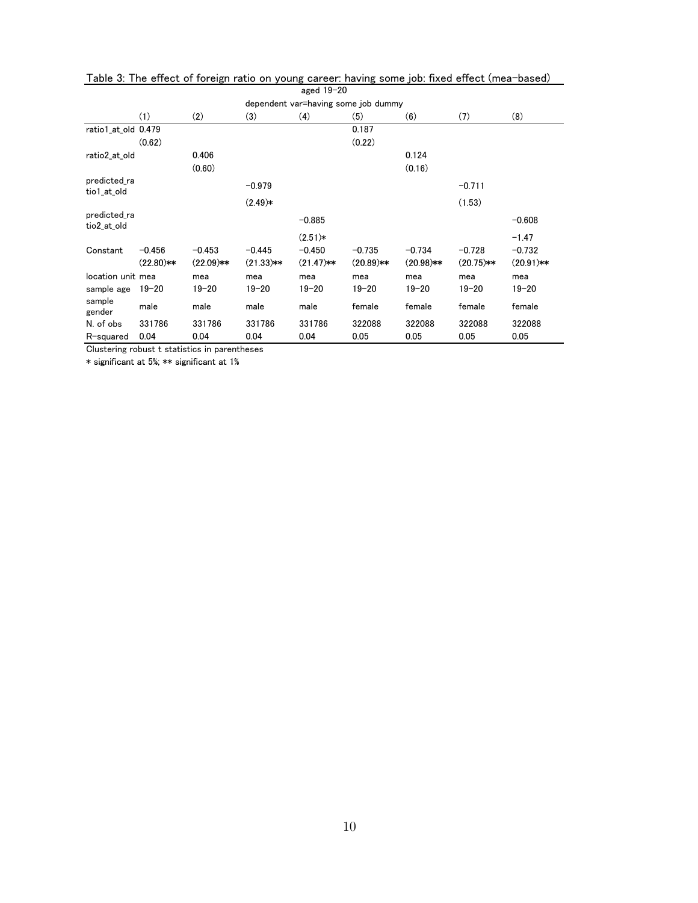| aged 19-20                  |             |             |             |             |                                     |              |             |              |  |  |  |
|-----------------------------|-------------|-------------|-------------|-------------|-------------------------------------|--------------|-------------|--------------|--|--|--|
|                             |             |             |             |             | dependent var=having some job dummy |              |             |              |  |  |  |
|                             | (1)         | (2)         | (3)         | (4)         | (5)                                 | (6)          | (7)         | (8)          |  |  |  |
| ratio1 at old 0.479         |             |             |             |             | 0.187                               |              |             |              |  |  |  |
|                             | (0.62)      |             |             |             | (0.22)                              |              |             |              |  |  |  |
| ratio2 at old               |             | 0.406       |             |             |                                     | 0.124        |             |              |  |  |  |
|                             |             | (0.60)      |             |             |                                     | (0.16)       |             |              |  |  |  |
| predicted ra<br>tio1_at_old |             |             | $-0.979$    |             |                                     |              | $-0.711$    |              |  |  |  |
|                             |             |             | $(2.49)*$   |             |                                     |              | (1.53)      |              |  |  |  |
| predicted ra<br>tio2 at old |             |             |             | $-0.885$    |                                     |              |             | $-0.608$     |  |  |  |
|                             |             |             |             | $(2.51)*$   |                                     |              |             | $-1.47$      |  |  |  |
| Constant                    | $-0.456$    | $-0.453$    | $-0.445$    | $-0.450$    | $-0.735$                            | $-0.734$     | $-0.728$    | $-0.732$     |  |  |  |
|                             | $(22.80)**$ | $(22.09)**$ | $(21.33)**$ | $(21.47)**$ | $(20.89)$ **                        | $(20.98)$ ** | $(20.75)**$ | $(20.91)$ ** |  |  |  |
| location unit mea           |             | mea         | mea         | mea         | mea                                 | mea          | mea         | mea          |  |  |  |
| sample age                  | $19 - 20$   | $19 - 20$   | $19 - 20$   | $19 - 20$   | $19 - 20$                           | $19 - 20$    | $19 - 20$   | $19 - 20$    |  |  |  |
| sample<br>gender            | male        | male        | male        | male        | female                              | female       | female      | female       |  |  |  |
| N. of obs                   | 331786      | 331786      | 331786      | 331786      | 322088                              | 322088       | 322088      | 322088       |  |  |  |
| R-squared                   | 0.04        | 0.04        | 0.04        | 0.04        | 0.05                                | 0.05         | 0.05        | 0.05         |  |  |  |

| Table 3: The effect of foreign ratio on young career: having some job: fixed effect (mea-based) |
|-------------------------------------------------------------------------------------------------|
| $300 - 10 - 20$                                                                                 |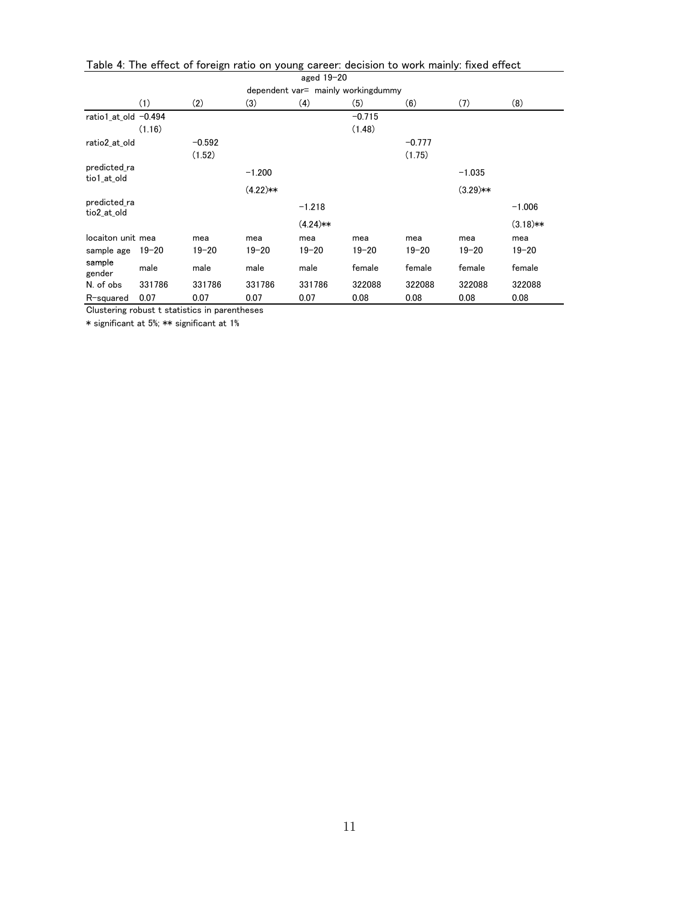|                             |                                       | Table 4. The choot of foreign ratio on young career. accision to work manny. Inxed choot |            | aged 19-20 |           |           |            |            |  |  |  |
|-----------------------------|---------------------------------------|------------------------------------------------------------------------------------------|------------|------------|-----------|-----------|------------|------------|--|--|--|
|                             | $dependent var=$ mainly working dummy |                                                                                          |            |            |           |           |            |            |  |  |  |
|                             | (1)                                   | (2)                                                                                      | (3)        | (4)        | (5)       | (6)       | (7)        | (8)        |  |  |  |
| ratio1 at old $-0.494$      |                                       |                                                                                          |            |            | $-0.715$  |           |            |            |  |  |  |
|                             | (1.16)                                |                                                                                          |            |            | (1.48)    |           |            |            |  |  |  |
| ratio2 at old               |                                       | $-0.592$                                                                                 |            |            |           | $-0.777$  |            |            |  |  |  |
|                             |                                       | (1.52)                                                                                   |            |            |           | (1.75)    |            |            |  |  |  |
| predicted ra<br>tio1 at old |                                       |                                                                                          | $-1.200$   |            |           |           | $-1.035$   |            |  |  |  |
|                             |                                       |                                                                                          | $(4.22)**$ |            |           |           | $(3.29)**$ |            |  |  |  |
| predicted ra<br>tio2 at old |                                       |                                                                                          |            | $-1.218$   |           |           |            | $-1.006$   |  |  |  |
|                             |                                       |                                                                                          |            | $(4.24)**$ |           |           |            | $(3.18)**$ |  |  |  |
| locaiton unit mea           |                                       | mea                                                                                      | mea        | mea        | mea       | mea       | mea        | mea        |  |  |  |
| sample age                  | 19-20                                 | $19 - 20$                                                                                | $19 - 20$  | $19 - 20$  | $19 - 20$ | $19 - 20$ | $19 - 20$  | $19 - 20$  |  |  |  |
| sample<br>gender            | male                                  | male                                                                                     | male       | male       | female    | female    | female     | female     |  |  |  |
| N. of obs                   | 331786                                | 331786                                                                                   | 331786     | 331786     | 322088    | 322088    | 322088     | 322088     |  |  |  |
| R-squared                   | 0.07                                  | 0.07                                                                                     | 0.07       | 0.07       | 0.08      | 0.08      | 0.08       | 0.08       |  |  |  |

Table 4: The effect of foreign ratio on young career: decision to work mainly: fixed effect

Clustering robust t statistics in parentheses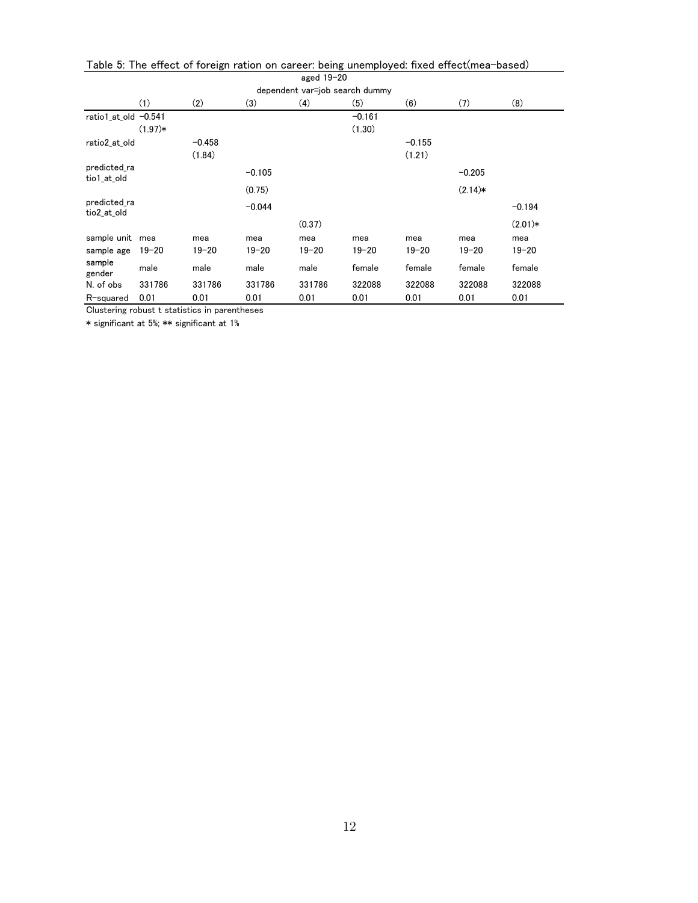|                                | Table J. The effect of foreign ration on career. Delify unemployed. IIXed effect, inea-based/<br>aged 19-20 |           |           |           |           |           |           |           |  |  |  |  |
|--------------------------------|-------------------------------------------------------------------------------------------------------------|-----------|-----------|-----------|-----------|-----------|-----------|-----------|--|--|--|--|
|                                |                                                                                                             |           |           |           |           |           |           |           |  |  |  |  |
| dependent var=job search dummy |                                                                                                             |           |           |           |           |           |           |           |  |  |  |  |
|                                | (1)                                                                                                         | (2)       | (3)       | (4)       | (5)       | (6)       | (7)       | (8)       |  |  |  |  |
| ratio1_at_old -0.541           |                                                                                                             |           |           |           | $-0.161$  |           |           |           |  |  |  |  |
|                                | $(1.97)*$                                                                                                   |           |           |           | (1.30)    |           |           |           |  |  |  |  |
| ratio2 at old                  |                                                                                                             | $-0.458$  |           |           |           | $-0.155$  |           |           |  |  |  |  |
|                                |                                                                                                             | (1.84)    |           |           |           | (1.21)    |           |           |  |  |  |  |
| predicted ra<br>tio1 at old    |                                                                                                             |           | $-0.105$  |           |           |           | $-0.205$  |           |  |  |  |  |
|                                |                                                                                                             |           | (0.75)    |           |           |           | $(2.14)*$ |           |  |  |  |  |
| predicted ra<br>tio2 at old    |                                                                                                             |           | $-0.044$  |           |           |           |           | $-0.194$  |  |  |  |  |
|                                |                                                                                                             |           |           | (0.37)    |           |           |           | $(2.01)*$ |  |  |  |  |
| sample unit                    | mea                                                                                                         | mea       | mea       | mea       | mea       | mea       | mea       | mea       |  |  |  |  |
| sample age                     | $19 - 20$                                                                                                   | $19 - 20$ | $19 - 20$ | $19 - 20$ | $19 - 20$ | $19 - 20$ | $19 - 20$ | $19 - 20$ |  |  |  |  |
| sample<br>gender               | male                                                                                                        | male      | male      | male      | female    | female    | female    | female    |  |  |  |  |
| N. of obs                      | 331786                                                                                                      | 331786    | 331786    | 331786    | 322088    | 322088    | 322088    | 322088    |  |  |  |  |
| R-squared                      | 0.01                                                                                                        | 0.01      | 0.01      | 0.01      | 0.01      | 0.01      | 0.01      | 0.01      |  |  |  |  |

Table 5: The effect of foreign ration on career: being unemployed: fixed effect(mea-based)

Clustering robust t statistics in parentheses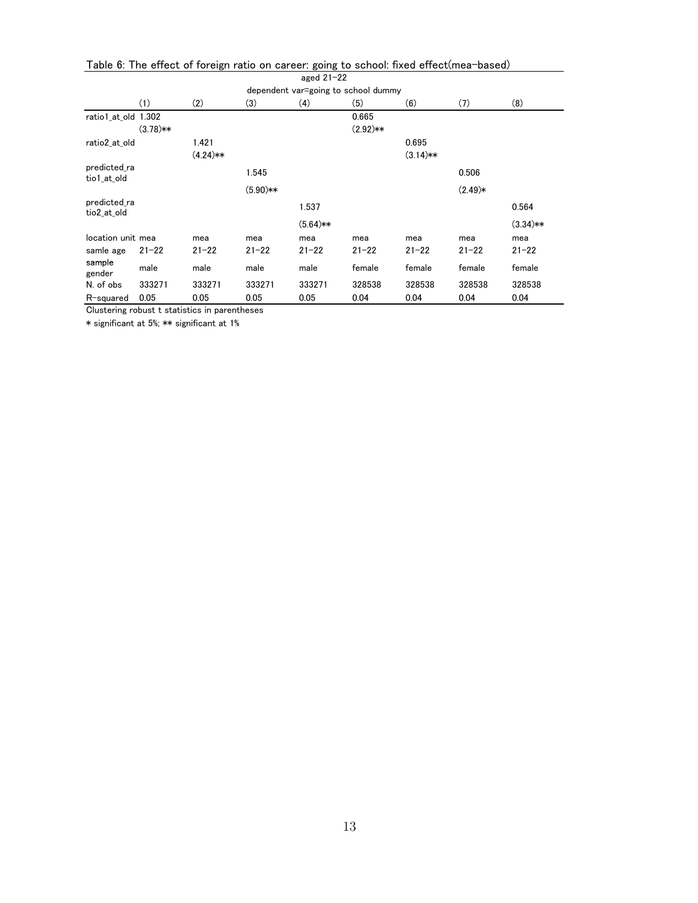| Table 6: The effect of foreign ratio on career: going to school: fixed effect(mea-based) |              |            |            |            |            |            |           |            |  |  |  |  |
|------------------------------------------------------------------------------------------|--------------|------------|------------|------------|------------|------------|-----------|------------|--|--|--|--|
|                                                                                          | aged $21-22$ |            |            |            |            |            |           |            |  |  |  |  |
| dependent var=going to school dummy                                                      |              |            |            |            |            |            |           |            |  |  |  |  |
|                                                                                          | (1)          | (2)        | (3)        | (4)        | (5)        | (6)        | (7)       | (8)        |  |  |  |  |
| ratio1 at old 1.302                                                                      |              |            |            |            | 0.665      |            |           |            |  |  |  |  |
|                                                                                          | $(3.78)**$   |            |            |            | $(2.92)**$ |            |           |            |  |  |  |  |
| ratio2 at old                                                                            |              | 1.421      |            |            |            | 0.695      |           |            |  |  |  |  |
|                                                                                          |              | $(4.24)**$ |            |            |            | $(3.14)**$ |           |            |  |  |  |  |
| predicted ra<br>tio1 at old                                                              |              |            | 1.545      |            |            |            | 0.506     |            |  |  |  |  |
|                                                                                          |              |            | $(5.90)**$ |            |            |            | $(2.49)*$ |            |  |  |  |  |
| predicted ra<br>tio2 at old                                                              |              |            |            | 1.537      |            |            |           | 0.564      |  |  |  |  |
|                                                                                          |              |            |            | $(5.64)**$ |            |            |           | $(3.34)**$ |  |  |  |  |
| location unit mea                                                                        |              | mea        | mea        | mea        | mea        | mea        | mea       | mea        |  |  |  |  |
| samle age                                                                                | $21 - 22$    | $21 - 22$  | $21 - 22$  | $21 - 22$  | $21 - 22$  | $21 - 22$  | $21 - 22$ | $21 - 22$  |  |  |  |  |
| sample<br>gender                                                                         | male         | male       | male       | male       | female     | female     | female    | female     |  |  |  |  |
| N. of obs                                                                                | 333271       | 333271     | 333271     | 333271     | 328538     | 328538     | 328538    | 328538     |  |  |  |  |
| R-squared                                                                                | 0.05         | 0.05       | 0.05       | 0.05       | 0.04       | 0.04       | 0.04      | 0.04       |  |  |  |  |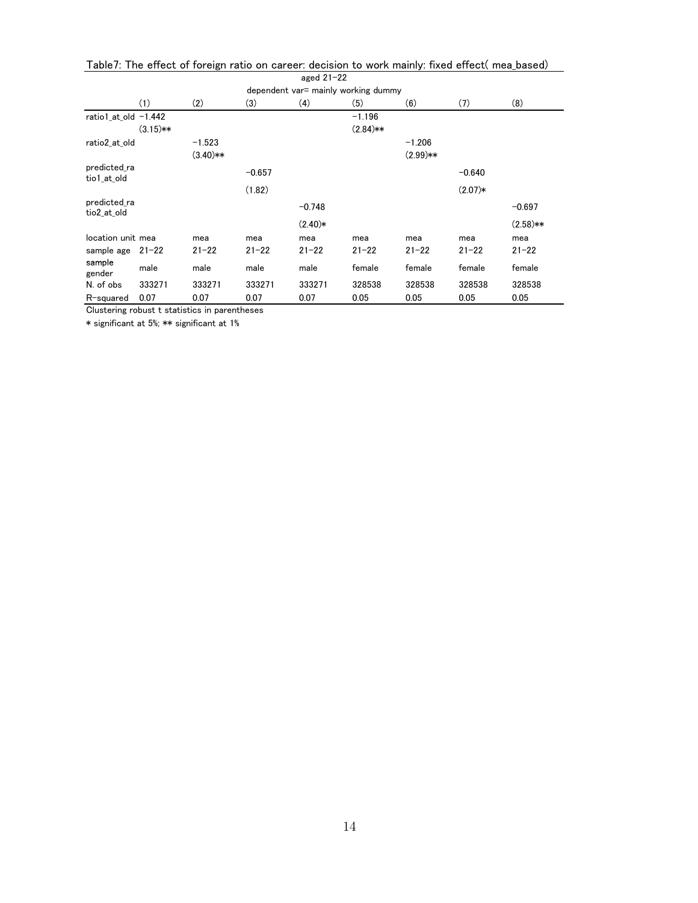|                                     | aged $21-22$ |            |           |           |             |            |           |            |  |  |  |
|-------------------------------------|--------------|------------|-----------|-----------|-------------|------------|-----------|------------|--|--|--|
| dependent var= mainly working dummy |              |            |           |           |             |            |           |            |  |  |  |
|                                     | (1)          | (2)        | (3)       | (4)       | (5)         | (6)        | (7)       | (8)        |  |  |  |
| ratio1 at old $-1.442$              |              |            |           |           | $-1.196$    |            |           |            |  |  |  |
|                                     | $(3.15)**$   |            |           |           | $(2.84)$ ** |            |           |            |  |  |  |
| ratio2 at old                       |              | $-1.523$   |           |           |             | $-1.206$   |           |            |  |  |  |
|                                     |              | $(3.40)**$ |           |           |             | $(2.99)**$ |           |            |  |  |  |
| predicted ra<br>tio1 at old         |              |            | $-0.657$  |           |             |            | $-0.640$  |            |  |  |  |
|                                     |              |            | (1.82)    |           |             |            | $(2.07)*$ |            |  |  |  |
| predicted ra<br>tio2 at old         |              |            |           | $-0.748$  |             |            |           | $-0.697$   |  |  |  |
|                                     |              |            |           | $(2.40)*$ |             |            |           | $(2.58)**$ |  |  |  |
| location unit mea                   |              | mea        | mea       | mea       | mea         | mea        | mea       | mea        |  |  |  |
| sample age                          | $21 - 22$    | $21 - 22$  | $21 - 22$ | $21 - 22$ | $21 - 22$   | $21 - 22$  | $21 - 22$ | $21 - 22$  |  |  |  |
| sample<br>gender                    | male         | male       | male      | male      | female      | female     | female    | female     |  |  |  |
| N. of obs                           | 333271       | 333271     | 333271    | 333271    | 328538      | 328538     | 328538    | 328538     |  |  |  |
| R-squared                           | 0.07         | 0.07       | 0.07      | 0.07      | 0.05        | 0.05       | 0.05      | 0.05       |  |  |  |

Table7: The effect of foreign ratio on career: decision to work mainly: fixed effect( mea\_based)

Clustering robust t statistics in parentheses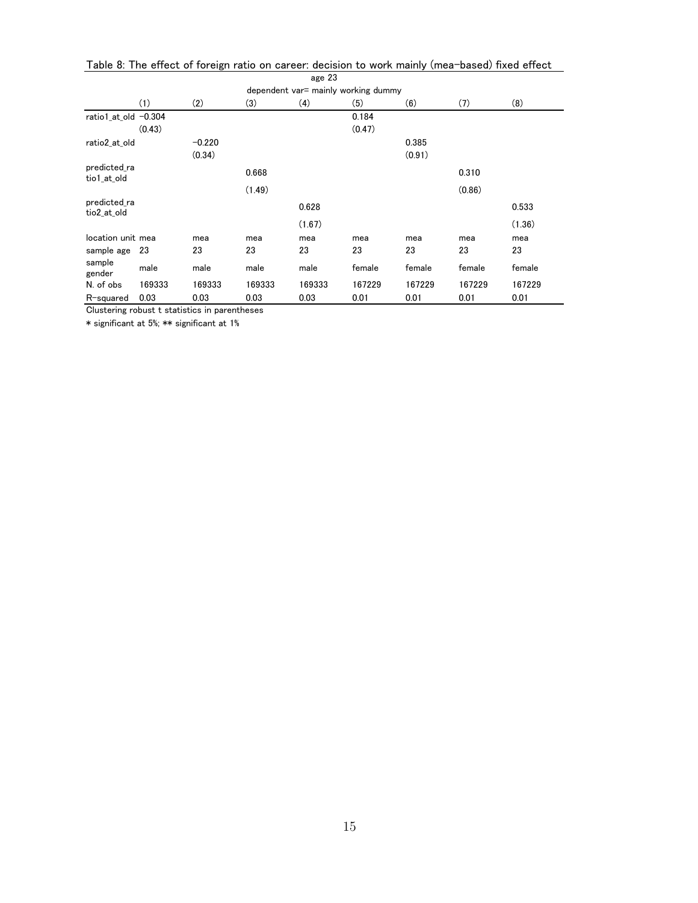|                             | age 23                              |          |        |        |        |        |        |        |  |  |  |  |
|-----------------------------|-------------------------------------|----------|--------|--------|--------|--------|--------|--------|--|--|--|--|
|                             | dependent var= mainly working dummy |          |        |        |        |        |        |        |  |  |  |  |
|                             | (1)                                 | (2)      | (3)    | (4)    | (5)    | (6)    | (7)    | (8)    |  |  |  |  |
| ratio1 at old $-0.304$      |                                     |          |        |        | 0.184  |        |        |        |  |  |  |  |
|                             | (0.43)                              |          |        |        | (0.47) |        |        |        |  |  |  |  |
| ratio2 at old               |                                     | $-0.220$ |        |        |        | 0.385  |        |        |  |  |  |  |
|                             |                                     | (0.34)   |        |        |        | (0.91) |        |        |  |  |  |  |
| predicted ra<br>tio1_at_old |                                     |          | 0.668  |        |        |        | 0.310  |        |  |  |  |  |
|                             |                                     |          | (1.49) |        |        |        | (0.86) |        |  |  |  |  |
| predicted ra<br>tio2 at old |                                     |          |        | 0.628  |        |        |        | 0.533  |  |  |  |  |
|                             |                                     |          |        | (1.67) |        |        |        | (1.36) |  |  |  |  |
| location unit mea           |                                     | mea      | mea    | mea    | mea    | mea    | mea    | mea    |  |  |  |  |
| sample age                  | 23                                  | 23       | 23     | 23     | 23     | 23     | 23     | 23     |  |  |  |  |
| sample<br>gender            | male                                | male     | male   | male   | female | female | female | female |  |  |  |  |
| N. of obs                   | 169333                              | 169333   | 169333 | 169333 | 167229 | 167229 | 167229 | 167229 |  |  |  |  |
| R-squared                   | 0.03                                | 0.03     | 0.03   | 0.03   | 0.01   | 0.01   | 0.01   | 0.01   |  |  |  |  |

| Table 8: The effect of foreign ratio on career: decision to work mainly (mea-based) fixed effect |  |  |        |  |  |  |  |
|--------------------------------------------------------------------------------------------------|--|--|--------|--|--|--|--|
|                                                                                                  |  |  | age 23 |  |  |  |  |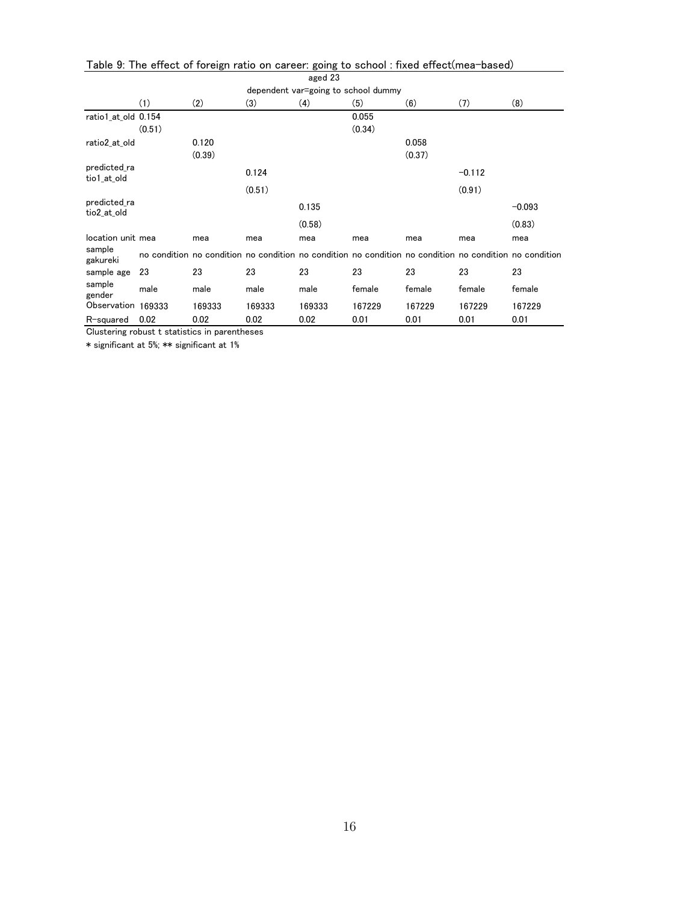|                                     | Table 9: The effect of foreign ratio on career: going to school : fixed effect(mea-based) |                                                                                                         |        |         |        |        |          |          |  |  |  |
|-------------------------------------|-------------------------------------------------------------------------------------------|---------------------------------------------------------------------------------------------------------|--------|---------|--------|--------|----------|----------|--|--|--|
|                                     |                                                                                           |                                                                                                         |        | aged 23 |        |        |          |          |  |  |  |
| dependent var=going to school dummy |                                                                                           |                                                                                                         |        |         |        |        |          |          |  |  |  |
|                                     | (1)                                                                                       | (2)                                                                                                     | (3)    | (4)     | (5)    | (6)    | (7)      | (8)      |  |  |  |
| ratio1_at_old 0.154                 |                                                                                           |                                                                                                         |        |         | 0.055  |        |          |          |  |  |  |
|                                     | (0.51)                                                                                    |                                                                                                         |        |         | (0.34) |        |          |          |  |  |  |
| ratio2 at old                       |                                                                                           | 0.120                                                                                                   |        |         |        | 0.058  |          |          |  |  |  |
|                                     |                                                                                           | (0.39)                                                                                                  |        |         |        | (0.37) |          |          |  |  |  |
| predicted ra<br>tio1 at old         |                                                                                           |                                                                                                         | 0.124  |         |        |        | $-0.112$ |          |  |  |  |
|                                     |                                                                                           |                                                                                                         | (0.51) |         |        |        | (0.91)   |          |  |  |  |
| predicted ra<br>tio2 at old         |                                                                                           |                                                                                                         |        | 0.135   |        |        |          | $-0.093$ |  |  |  |
|                                     |                                                                                           |                                                                                                         |        | (0.58)  |        |        |          | (0.83)   |  |  |  |
| location unit mea                   |                                                                                           | mea                                                                                                     | mea    | mea     | mea    | mea    | mea      | mea      |  |  |  |
| sample<br>gakureki                  |                                                                                           | no condition no condition no condition no condition no condition no condition no condition no condition |        |         |        |        |          |          |  |  |  |
| sample age                          | 23                                                                                        | 23                                                                                                      | 23     | 23      | 23     | 23     | 23       | 23       |  |  |  |
| sample<br>gender                    | male                                                                                      | male                                                                                                    | male   | male    | female | female | female   | female   |  |  |  |
| Observation                         | 169333                                                                                    | 169333                                                                                                  | 169333 | 169333  | 167229 | 167229 | 167229   | 167229   |  |  |  |
| R-squared                           | 0.02                                                                                      | 0.02                                                                                                    | 0.02   | 0.02    | 0.01   | 0.01   | 0.01     | 0.01     |  |  |  |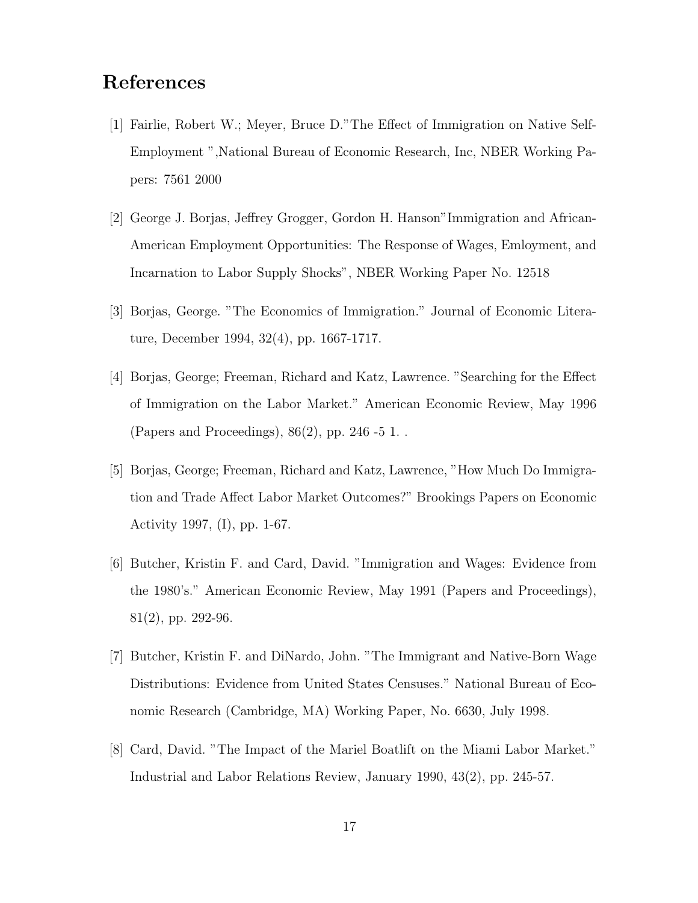### References

- [1] Fairlie, Robert W.; Meyer, Bruce D."The Effect of Immigration on Native Self-Employment ",National Bureau of Economic Research, Inc, NBER Working Papers: 7561 2000
- [2] George J. Borjas, Jeffrey Grogger, Gordon H. Hanson"Immigration and African-American Employment Opportunities: The Response of Wages, Emloyment, and Incarnation to Labor Supply Shocks", NBER Working Paper No. 12518
- [3] Borjas, George. "The Economics of Immigration." Journal of Economic Literature, December 1994, 32(4), pp. 1667-1717.
- [4] Borjas, George; Freeman, Richard and Katz, Lawrence. "Searching for the Effect of Immigration on the Labor Market." American Economic Review, May 1996 (Papers and Proceedings), 86(2), pp. 246 -5 1. .
- [5] Borjas, George; Freeman, Richard and Katz, Lawrence, "How Much Do Immigration and Trade Affect Labor Market Outcomes?" Brookings Papers on Economic Activity 1997, (I), pp. 1-67.
- [6] Butcher, Kristin F. and Card, David. "Immigration and Wages: Evidence from the 1980's." American Economic Review, May 1991 (Papers and Proceedings), 81(2), pp. 292-96.
- [7] Butcher, Kristin F. and DiNardo, John. "The Immigrant and Native-Born Wage Distributions: Evidence from United States Censuses." National Bureau of Economic Research (Cambridge, MA) Working Paper, No. 6630, July 1998.
- [8] Card, David. "The Impact of the Mariel Boatlift on the Miami Labor Market." Industrial and Labor Relations Review, January 1990, 43(2), pp. 245-57.